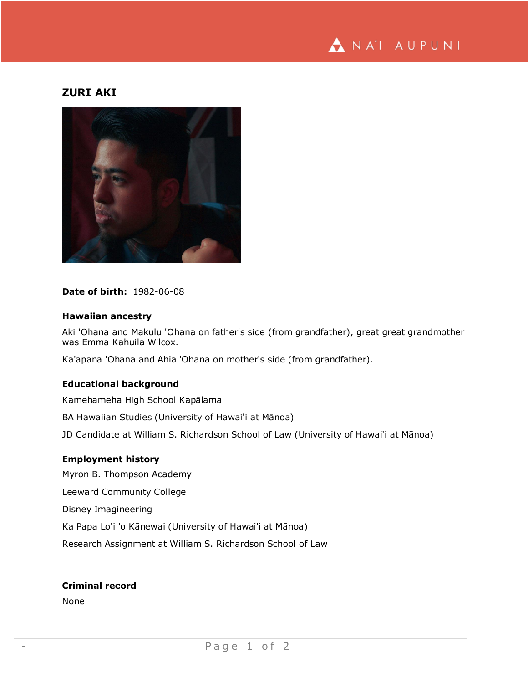

# **ZURI AKI**



## **Date of birth:** 1982-06-08

### **Hawaiian ancestry**

Aki 'Ohana and Makulu 'Ohana on father's side (from grandfather), great great grandmother was Emma Kahuila Wilcox.

Ka'apana 'Ohana and Ahia 'Ohana on mother's side (from grandfather).

## **Educational background**

Kamehameha High School Kapālama

BA Hawaiian Studies (University of Hawai'i at Mānoa)

JD Candidate at William S. Richardson School of Law (University of Hawai'i at Mānoa)

### **Employment history**

Myron B. Thompson Academy Leeward Community College Disney Imagineering Ka Papa Lo'i 'o Kānewai (University of Hawai'i at Mānoa) Research Assignment at William S. Richardson School of Law

# **Criminal record**

None